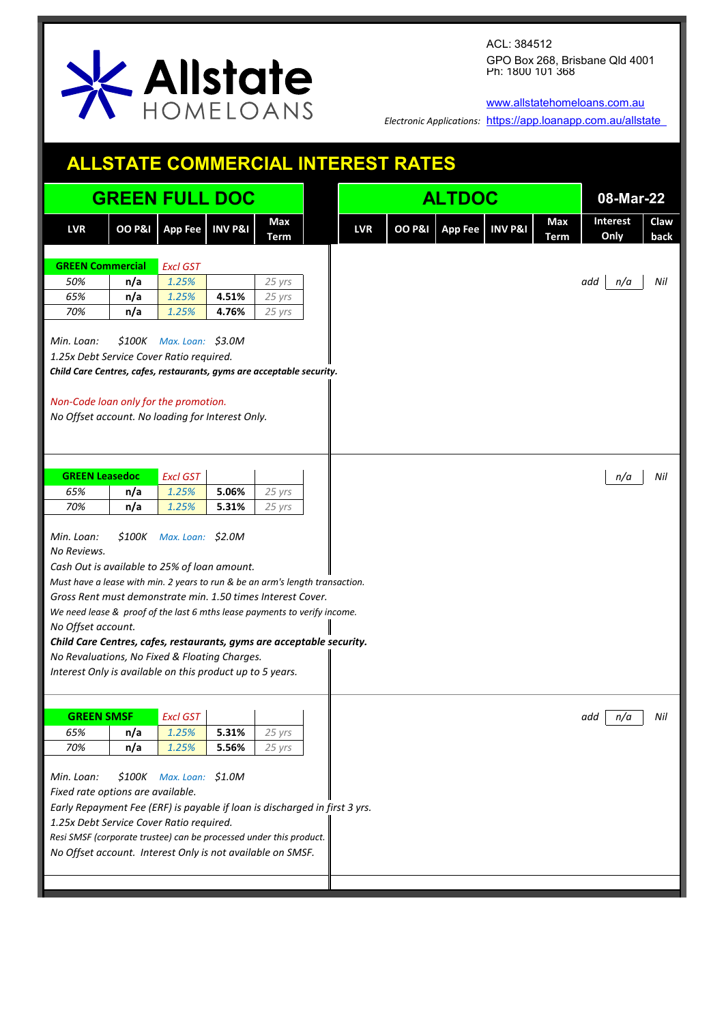

[www.allstatehomeloans.com.au](http://www.allstatehomeloans.com.au/)

*Electronic Applications:* <https://app.loanapp.com.au/allstate>

| <b>ALLSTATE COMMERCIAL INTEREST RATES</b>                                                                                                                                                                                                                                                                     |                      |                            |                    |                    |  |            |                   |               |                    |             |                         |           |              |
|---------------------------------------------------------------------------------------------------------------------------------------------------------------------------------------------------------------------------------------------------------------------------------------------------------------|----------------------|----------------------------|--------------------|--------------------|--|------------|-------------------|---------------|--------------------|-------------|-------------------------|-----------|--------------|
|                                                                                                                                                                                                                                                                                                               |                      | <b>GREEN FULL DOC</b>      |                    |                    |  |            |                   | <b>ALTDOC</b> |                    |             |                         | 08-Mar-22 |              |
| <b>LVR</b>                                                                                                                                                                                                                                                                                                    | <b>OO P&amp;I</b>    | <b>App Fee</b>             | <b>INV P&amp;I</b> | Max<br><b>Term</b> |  | <b>LVR</b> | <b>OO P&amp;I</b> | App Fee       | <b>INV P&amp;I</b> | Max<br>Term | <b>Interest</b><br>Only |           | Claw<br>back |
| <b>GREEN Commercial</b>                                                                                                                                                                                                                                                                                       |                      | <b>Excl GST</b>            |                    |                    |  |            |                   |               |                    |             |                         |           |              |
| 50%                                                                                                                                                                                                                                                                                                           | n/a                  | 1.25%                      |                    | 25 yrs             |  |            |                   |               |                    |             | add                     | n/a       | Nil          |
| 65%                                                                                                                                                                                                                                                                                                           | n/a                  | 1.25%                      | 4.51%              | 25 yrs             |  |            |                   |               |                    |             |                         |           |              |
| 70%                                                                                                                                                                                                                                                                                                           | n/a                  | 1.25%                      | 4.76%              | 25 yrs             |  |            |                   |               |                    |             |                         |           |              |
| Min. Loan:<br>1.25x Debt Service Cover Ratio required.                                                                                                                                                                                                                                                        |                      | $$100K$ Max. Loan: \$3.0M  |                    |                    |  |            |                   |               |                    |             |                         |           |              |
| Child Care Centres, cafes, restaurants, gyms are acceptable security.                                                                                                                                                                                                                                         |                      |                            |                    |                    |  |            |                   |               |                    |             |                         |           |              |
| Non-Code loan only for the promotion.<br>No Offset account. No loading for Interest Only.                                                                                                                                                                                                                     |                      |                            |                    |                    |  |            |                   |               |                    |             |                         |           |              |
| <b>GREEN Leasedoc</b>                                                                                                                                                                                                                                                                                         |                      | <b>Excl GST</b>            |                    |                    |  |            |                   |               |                    |             |                         | n/a       | Nil          |
| 65%                                                                                                                                                                                                                                                                                                           | n/a                  | 1.25%                      | 5.06%              | 25 yrs             |  |            |                   |               |                    |             |                         |           |              |
| 70%                                                                                                                                                                                                                                                                                                           | n/a                  | 1.25%                      | 5.31%              | 25 yrs             |  |            |                   |               |                    |             |                         |           |              |
| Min. Loan:<br>No Reviews.                                                                                                                                                                                                                                                                                     | <i><b>\$100K</b></i> | Max. Loan: \$2.0M          |                    |                    |  |            |                   |               |                    |             |                         |           |              |
| Cash Out is available to 25% of loan amount.                                                                                                                                                                                                                                                                  |                      |                            |                    |                    |  |            |                   |               |                    |             |                         |           |              |
| Must have a lease with min. 2 years to run & be an arm's length transaction.                                                                                                                                                                                                                                  |                      |                            |                    |                    |  |            |                   |               |                    |             |                         |           |              |
| Gross Rent must demonstrate min. 1.50 times Interest Cover.<br>We need lease & proof of the last 6 mths lease payments to verify income.                                                                                                                                                                      |                      |                            |                    |                    |  |            |                   |               |                    |             |                         |           |              |
| No Offset account.                                                                                                                                                                                                                                                                                            |                      |                            |                    |                    |  |            |                   |               |                    |             |                         |           |              |
| Child Care Centres, cafes, restaurants, gyms are acceptable security.                                                                                                                                                                                                                                         |                      |                            |                    |                    |  |            |                   |               |                    |             |                         |           |              |
| No Revaluations, No Fixed & Floating Charges.                                                                                                                                                                                                                                                                 |                      |                            |                    |                    |  |            |                   |               |                    |             |                         |           |              |
| Interest Only is available on this product up to 5 years.                                                                                                                                                                                                                                                     |                      |                            |                    |                    |  |            |                   |               |                    |             |                         |           |              |
| <b>GREEN SMSF</b>                                                                                                                                                                                                                                                                                             |                      | <b>Excl GST</b>            |                    |                    |  |            |                   |               |                    |             | add                     | n/a       | Nil          |
| 65%                                                                                                                                                                                                                                                                                                           | n/a                  | 1.25%                      | 5.31%              | 25 yrs             |  |            |                   |               |                    |             |                         |           |              |
| 70%                                                                                                                                                                                                                                                                                                           | n/a                  | 1.25%                      | 5.56%              | 25 yrs             |  |            |                   |               |                    |             |                         |           |              |
| Min. Loan:<br>Fixed rate options are available.<br>Early Repayment Fee (ERF) is payable if loan is discharged in first 3 yrs.<br>1.25x Debt Service Cover Ratio required.<br>Resi SMSF (corporate trustee) can be processed under this product.<br>No Offset account. Interest Only is not available on SMSF. |                      | $$100K$ Max. Loan: $$1.0M$ |                    |                    |  |            |                   |               |                    |             |                         |           |              |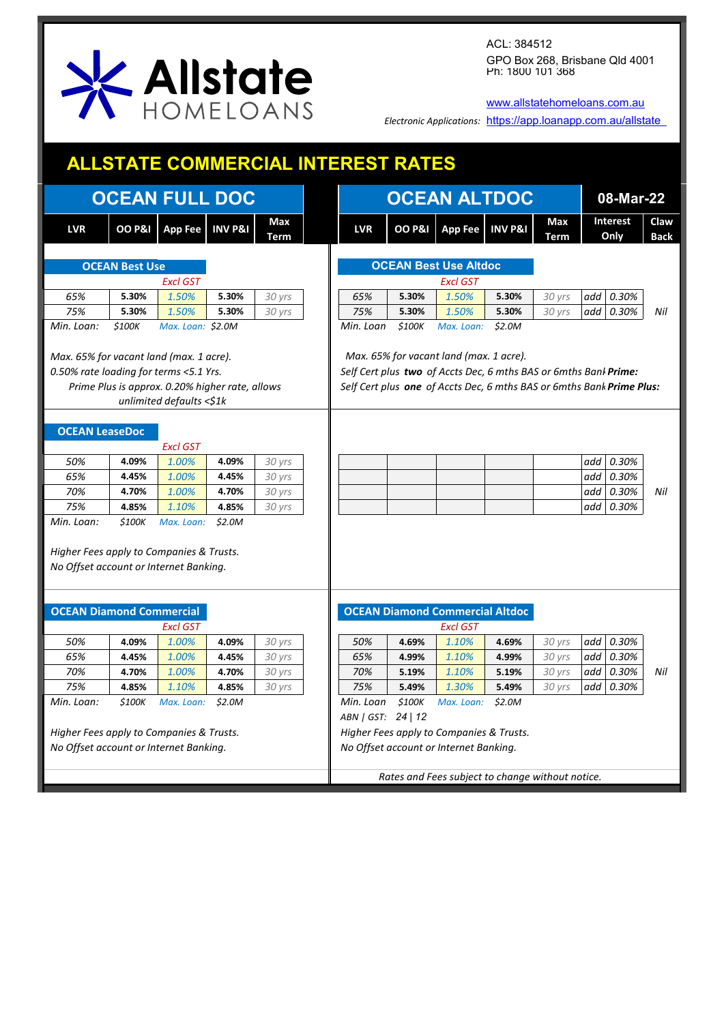

[www.allstatehomeloans.com.au](http://www.allstatehomeloans.com.au/)

*Electronic Applications:* <https://app.loanapp.com.au/allstate>

|                                                                                                  | <b>ALLSTATE COMMERCIAL INTEREST RATES</b> |                                                 |                    |             |  |                                                  |                   |                                                                                                             |                    |                    |                         |       |                     |  |
|--------------------------------------------------------------------------------------------------|-------------------------------------------|-------------------------------------------------|--------------------|-------------|--|--------------------------------------------------|-------------------|-------------------------------------------------------------------------------------------------------------|--------------------|--------------------|-------------------------|-------|---------------------|--|
|                                                                                                  |                                           | <b>OCEAN FULL DOC</b>                           |                    |             |  | <b>OCEAN ALTDOC</b>                              | 08-Mar-22         |                                                                                                             |                    |                    |                         |       |                     |  |
| <b>LVR</b>                                                                                       | <b>OO P&amp;I</b>                         | <b>App Fee</b>                                  | <b>INV P&amp;I</b> | Max<br>Term |  | <b>LVR</b>                                       | <b>OO P&amp;I</b> | <b>App Fee</b>                                                                                              | <b>INV P&amp;I</b> | Max<br><b>Term</b> | <b>Interest</b><br>Only |       | Claw<br><b>Back</b> |  |
|                                                                                                  |                                           |                                                 |                    |             |  |                                                  |                   | <b>OCEAN Best Use Altdoc</b>                                                                                |                    |                    |                         |       |                     |  |
|                                                                                                  | <b>OCEAN Best Use</b>                     |                                                 |                    |             |  |                                                  |                   |                                                                                                             |                    |                    |                         |       |                     |  |
|                                                                                                  |                                           | <b>Excl GST</b>                                 |                    |             |  |                                                  |                   | <b>Excl GST</b>                                                                                             |                    |                    |                         |       |                     |  |
| 65%                                                                                              | 5.30%                                     | 1.50%                                           | 5.30%<br>5.30%     | 30 yrs      |  | 65%                                              | 5.30%             | 1.50%                                                                                                       | 5.30%<br>5.30%     | 30 yrs             | add                     | 0.30% | Nil                 |  |
| 75%<br>Min. Loan:                                                                                | 5.30%                                     | 1.50%                                           |                    | 30 yrs      |  | 75%                                              | 5.30%             | 1.50%                                                                                                       |                    | 30 yrs             | add                     | 0.30% |                     |  |
|                                                                                                  | \$100K                                    | Max. Loan: \$2.0M                               |                    |             |  | Min. Loan                                        | \$100K            | Max. Loan:                                                                                                  | \$2.0M             |                    |                         |       |                     |  |
|                                                                                                  |                                           |                                                 |                    |             |  |                                                  |                   |                                                                                                             |                    |                    |                         |       |                     |  |
| Max. 65% for vacant land (max. 1 acre).<br>0.50% rate loading for terms <5.1 Yrs.                |                                           |                                                 |                    |             |  |                                                  |                   | Max. 65% for vacant land (max. 1 acre).<br>Self Cert plus two of Accts Dec, 6 mths BAS or 6mths Bank Prime: |                    |                    |                         |       |                     |  |
|                                                                                                  |                                           |                                                 |                    |             |  |                                                  |                   |                                                                                                             |                    |                    |                         |       |                     |  |
|                                                                                                  |                                           | Prime Plus is approx. 0.20% higher rate, allows |                    |             |  |                                                  |                   | Self Cert plus one of Accts Dec, 6 mths BAS or 6mths Bank Prime Plus:                                       |                    |                    |                         |       |                     |  |
|                                                                                                  |                                           | unlimited defaults $\leq 1k$                    |                    |             |  |                                                  |                   |                                                                                                             |                    |                    |                         |       |                     |  |
|                                                                                                  |                                           |                                                 |                    |             |  |                                                  |                   |                                                                                                             |                    |                    |                         |       |                     |  |
| <b>OCEAN LeaseDoc</b>                                                                            |                                           |                                                 |                    |             |  |                                                  |                   |                                                                                                             |                    |                    |                         |       |                     |  |
|                                                                                                  |                                           | <b>Excl GST</b>                                 |                    |             |  |                                                  |                   |                                                                                                             |                    |                    |                         |       |                     |  |
| 50%                                                                                              | 4.09%                                     | 1.00%                                           | 4.09%              | 30 yrs      |  |                                                  |                   |                                                                                                             |                    |                    | add                     | 0.30% |                     |  |
| 65%                                                                                              | 4.45%                                     | 1.00%                                           | 4.45%              | 30 yrs      |  |                                                  |                   |                                                                                                             |                    |                    | add                     | 0.30% |                     |  |
| 70%                                                                                              | 4.70%                                     | 1.00%                                           | 4.70%              | 30 yrs      |  |                                                  |                   |                                                                                                             |                    |                    | add                     | 0.30% | Nil                 |  |
| 75%                                                                                              | 4.85%                                     | 1.10%                                           | 4.85%              | 30 yrs      |  |                                                  |                   |                                                                                                             |                    |                    | add                     | 0.30% |                     |  |
| Min. Loan:<br>Higher Fees apply to Companies & Trusts.<br>No Offset account or Internet Banking. | \$100K                                    | Max. Loan:                                      | \$2.0M             |             |  |                                                  |                   |                                                                                                             |                    |                    |                         |       |                     |  |
|                                                                                                  |                                           |                                                 |                    |             |  |                                                  |                   |                                                                                                             |                    |                    |                         |       |                     |  |
| <b>OCEAN Diamond Commercial</b>                                                                  |                                           |                                                 |                    |             |  |                                                  |                   | <b>OCEAN Diamond Commercial Altdoc</b>                                                                      |                    |                    |                         |       |                     |  |
|                                                                                                  |                                           | <b>Excl GST</b>                                 |                    |             |  |                                                  |                   | <b>Excl GST</b>                                                                                             |                    |                    |                         |       |                     |  |
| 50%                                                                                              | 4.09%                                     | 1.00%                                           | 4.09%              | 30 yrs      |  | 50%                                              | 4.69%             | 1.10%                                                                                                       | 4.69%              | 30 yrs             | add                     | 0.30% |                     |  |
| 65%                                                                                              | 4.45%                                     | 1.00%                                           | 4.45%              | 30 yrs      |  | 65%                                              | 4.99%             | 1.10%                                                                                                       | 4.99%              | 30 yrs             | add                     | 0.30% |                     |  |
| 70%                                                                                              | 4.70%                                     | 1.00%                                           | 4.70%              | 30 yrs      |  | 70%                                              | 5.19%             | 1.10%                                                                                                       | 5.19%              | 30 yrs             | add                     | 0.30% | Nil                 |  |
| 75%                                                                                              | 4.85%                                     | 1.10%                                           | 4.85%              | 30 yrs      |  | 75%                                              | 5.49%             | 1.30%                                                                                                       | 5.49%              | 30 yrs             | add                     | 0.30% |                     |  |
| Min. Loan:                                                                                       | \$100K                                    | Max. Loan:                                      | \$2.0M             |             |  | Min. Loan                                        | \$100K            | Max. Loan:                                                                                                  | \$2.0M             |                    |                         |       |                     |  |
|                                                                                                  |                                           |                                                 |                    |             |  | ABN   GST: 24   12                               |                   |                                                                                                             |                    |                    |                         |       |                     |  |
| Higher Fees apply to Companies & Trusts.                                                         |                                           |                                                 |                    |             |  |                                                  |                   | Higher Fees apply to Companies & Trusts.                                                                    |                    |                    |                         |       |                     |  |
| No Offset account or Internet Banking.                                                           |                                           |                                                 |                    |             |  |                                                  |                   | No Offset account or Internet Banking.                                                                      |                    |                    |                         |       |                     |  |
|                                                                                                  |                                           |                                                 |                    |             |  |                                                  |                   |                                                                                                             |                    |                    |                         |       |                     |  |
|                                                                                                  |                                           |                                                 |                    |             |  | Rates and Fees subject to change without notice. |                   |                                                                                                             |                    |                    |                         |       |                     |  |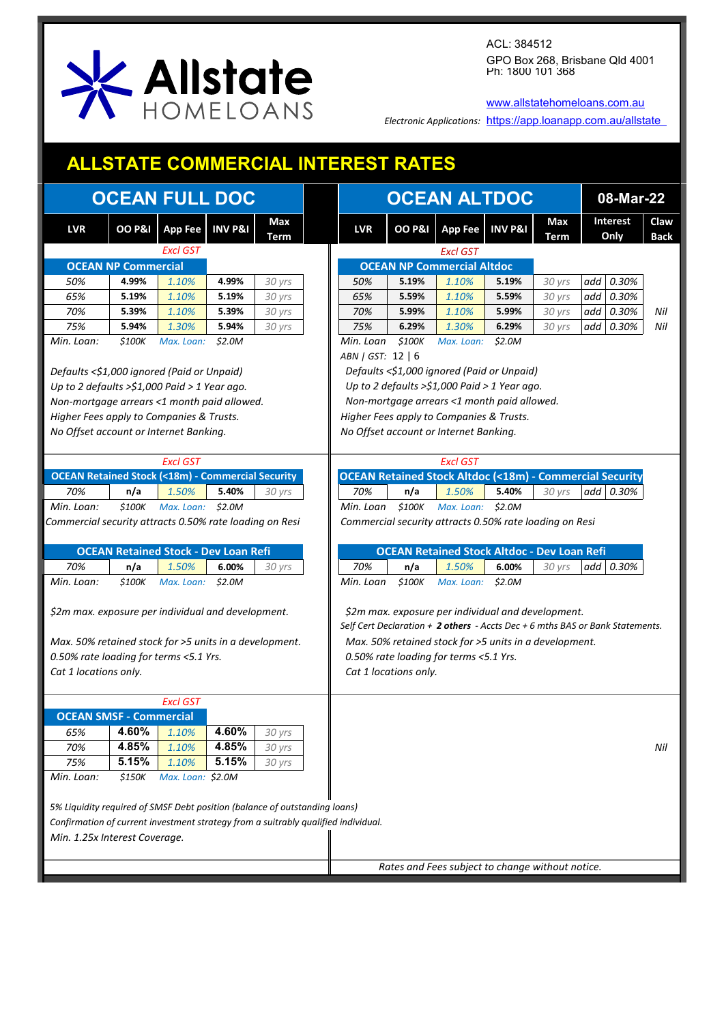

[www.allstatehomeloans.com.au](http://www.allstatehomeloans.com.au/)

*Electronic Applications:* <https://app.loanapp.com.au/allstate>

## **ALLSTATE COMMERCIAL INTEREST RATES**

| Claw<br>Max<br>Interest<br>Max<br>OO P&I   App Fee   INV P&I<br><b>OO P&amp;I</b><br>App Fee INV P&I<br><b>LVR</b><br><b>LVR</b><br>Only<br><b>Back</b><br>Term<br>Term<br><b>Excl GST</b><br><b>Excl GST</b><br><b>OCEAN NP Commercial Altdoc</b><br><b>OCEAN NP Commercial</b><br>4.99%<br>4.99%<br>1.10%<br>add 0.30%<br>50%<br>1.10%<br>30 yrs<br>50%<br>5.19%<br>5.19%<br>30 yrs<br>65%<br>1.10%<br>65%<br>30 yrs<br>add  <br>0.30%<br>5.19%<br>5.19%<br>30 yrs<br>5.59%<br>1.10%<br>5.59%<br>70%<br>5.39%<br>1.10%<br>5.39%<br>30 yrs<br>70%<br>5.99%<br>30 yrs<br>add  <br>0.30%<br>Nil<br>1.10%<br>5.99%<br>75%<br>Nil<br>5.94%<br>1.30%<br>5.94%<br>30 yrs<br>75%<br>6.29%<br>1.30%<br>6.29%<br>add  <br>0.30%<br>30 yrs<br>Min. Loan:<br>\$100K<br>\$2.0M<br>Min. Loan<br>\$100K<br>\$2.0M<br>Max. Loan:<br>Max. Loan:<br>ABN   GST: 12   6<br>Defaults <\$1,000 ignored (Paid or Unpaid)<br>Defaults <\$1,000 ignored (Paid or Unpaid)<br>Up to 2 defaults > $$1,000$ Paid > 1 Year ago.<br>Up to 2 defaults > $$1,000$ Paid > 1 Year ago.<br>Non-mortgage arrears <1 month paid allowed.<br>Non-mortgage arrears <1 month paid allowed.<br>Higher Fees apply to Companies & Trusts.<br>Higher Fees apply to Companies & Trusts.<br>No Offset account or Internet Banking.<br>No Offset account or Internet Banking.<br><b>Excl GST</b><br><b>Excl GST</b><br><b>OCEAN Retained Stock Altdoc (&lt;18m) - Commercial Security</b><br><b>OCEAN Retained Stock (&lt;18m) - Commercial Security</b><br>70%<br>1.50%<br>5.40%<br>70%<br>1.50%<br>5.40%<br>add 0.30%<br>n/a<br>n/a<br>30 yrs<br>30 yrs<br>\$100K<br>\$100K<br>Min. Loan<br>Min. Loan:<br>Max. Loan: \$2.0M<br>Max. Loan: \$2.0M<br>Commercial security attracts 0.50% rate loading on Resi<br>Commercial security attracts 0.50% rate loading on Resi<br><b>OCEAN Retained Stock - Dev Loan Refi</b><br><b>OCEAN Retained Stock Altdoc - Dev Loan Refi</b><br>n/a<br>n/a<br>70%<br>1.50%<br>6.00%<br>70%<br>1.50%<br>6.00%<br>add $0.30%$<br>30 yrs<br>30 yrs<br>Min. Loan:<br>\$100K<br>\$2.0M<br>Min. Loan<br>\$100K<br>\$2.0M<br>Max. Loan:<br>Max. Loan:<br>\$2m max. exposure per individual and development.<br>\$2m max. exposure per individual and development.<br>Self Cert Declaration + 2 others - Accts Dec + 6 mths BAS or Bank Statements.<br>Max. 50% retained stock for >5 units in a development.<br>Max. 50% retained stock for >5 units in a development.<br>0.50% rate loading for terms <5.1 Yrs.<br>0.50% rate loading for terms <5.1 Yrs.<br>Cat 1 locations only.<br>Cat 1 locations only.<br><b>Excl GST</b><br><b>OCEAN SMSF - Commercial</b><br>4.60%<br>4.60%<br>65%<br>1.10%<br>30 yrs<br>4.85%<br>4.85%<br>70%<br>1.10%<br>Nil<br>30 yrs<br>5.15%<br>5.15%<br>75%<br>1.10%<br>30 yrs<br>Min. Loan:<br><i><b>\$150K</b></i><br>Max. Loan: \$2.0M<br>5% Liquidity required of SMSF Debt position (balance of outstanding loans)<br>Confirmation of current investment strategy from a suitrably qualified individual.<br>Min. 1.25x Interest Coverage.<br>Rates and Fees subject to change without notice. | <b>OCEAN FULL DOC</b> |  |  |  |  |  | <b>OCEAN ALTDOC</b> |  |  |  |  |  | 08-Mar-22 |  |  |  |  |  |
|--------------------------------------------------------------------------------------------------------------------------------------------------------------------------------------------------------------------------------------------------------------------------------------------------------------------------------------------------------------------------------------------------------------------------------------------------------------------------------------------------------------------------------------------------------------------------------------------------------------------------------------------------------------------------------------------------------------------------------------------------------------------------------------------------------------------------------------------------------------------------------------------------------------------------------------------------------------------------------------------------------------------------------------------------------------------------------------------------------------------------------------------------------------------------------------------------------------------------------------------------------------------------------------------------------------------------------------------------------------------------------------------------------------------------------------------------------------------------------------------------------------------------------------------------------------------------------------------------------------------------------------------------------------------------------------------------------------------------------------------------------------------------------------------------------------------------------------------------------------------------------------------------------------------------------------------------------------------------------------------------------------------------------------------------------------------------------------------------------------------------------------------------------------------------------------------------------------------------------------------------------------------------------------------------------------------------------------------------------------------------------------------------------------------------------------------------------------------------------------------------------------------------------------------------------------------------------------------------------------------------------------------------------------------------------------------------------------------------------------------------------------------------------------------------------------------------------------------------------------------------------------------------------------------------------------------------------------------------------------------------------------------------------------------------------------------------------------------------------------|-----------------------|--|--|--|--|--|---------------------|--|--|--|--|--|-----------|--|--|--|--|--|
|                                                                                                                                                                                                                                                                                                                                                                                                                                                                                                                                                                                                                                                                                                                                                                                                                                                                                                                                                                                                                                                                                                                                                                                                                                                                                                                                                                                                                                                                                                                                                                                                                                                                                                                                                                                                                                                                                                                                                                                                                                                                                                                                                                                                                                                                                                                                                                                                                                                                                                                                                                                                                                                                                                                                                                                                                                                                                                                                                                                                                                                                                                              |                       |  |  |  |  |  |                     |  |  |  |  |  |           |  |  |  |  |  |
|                                                                                                                                                                                                                                                                                                                                                                                                                                                                                                                                                                                                                                                                                                                                                                                                                                                                                                                                                                                                                                                                                                                                                                                                                                                                                                                                                                                                                                                                                                                                                                                                                                                                                                                                                                                                                                                                                                                                                                                                                                                                                                                                                                                                                                                                                                                                                                                                                                                                                                                                                                                                                                                                                                                                                                                                                                                                                                                                                                                                                                                                                                              |                       |  |  |  |  |  |                     |  |  |  |  |  |           |  |  |  |  |  |
|                                                                                                                                                                                                                                                                                                                                                                                                                                                                                                                                                                                                                                                                                                                                                                                                                                                                                                                                                                                                                                                                                                                                                                                                                                                                                                                                                                                                                                                                                                                                                                                                                                                                                                                                                                                                                                                                                                                                                                                                                                                                                                                                                                                                                                                                                                                                                                                                                                                                                                                                                                                                                                                                                                                                                                                                                                                                                                                                                                                                                                                                                                              |                       |  |  |  |  |  |                     |  |  |  |  |  |           |  |  |  |  |  |
|                                                                                                                                                                                                                                                                                                                                                                                                                                                                                                                                                                                                                                                                                                                                                                                                                                                                                                                                                                                                                                                                                                                                                                                                                                                                                                                                                                                                                                                                                                                                                                                                                                                                                                                                                                                                                                                                                                                                                                                                                                                                                                                                                                                                                                                                                                                                                                                                                                                                                                                                                                                                                                                                                                                                                                                                                                                                                                                                                                                                                                                                                                              |                       |  |  |  |  |  |                     |  |  |  |  |  |           |  |  |  |  |  |
|                                                                                                                                                                                                                                                                                                                                                                                                                                                                                                                                                                                                                                                                                                                                                                                                                                                                                                                                                                                                                                                                                                                                                                                                                                                                                                                                                                                                                                                                                                                                                                                                                                                                                                                                                                                                                                                                                                                                                                                                                                                                                                                                                                                                                                                                                                                                                                                                                                                                                                                                                                                                                                                                                                                                                                                                                                                                                                                                                                                                                                                                                                              |                       |  |  |  |  |  |                     |  |  |  |  |  |           |  |  |  |  |  |
|                                                                                                                                                                                                                                                                                                                                                                                                                                                                                                                                                                                                                                                                                                                                                                                                                                                                                                                                                                                                                                                                                                                                                                                                                                                                                                                                                                                                                                                                                                                                                                                                                                                                                                                                                                                                                                                                                                                                                                                                                                                                                                                                                                                                                                                                                                                                                                                                                                                                                                                                                                                                                                                                                                                                                                                                                                                                                                                                                                                                                                                                                                              |                       |  |  |  |  |  |                     |  |  |  |  |  |           |  |  |  |  |  |
|                                                                                                                                                                                                                                                                                                                                                                                                                                                                                                                                                                                                                                                                                                                                                                                                                                                                                                                                                                                                                                                                                                                                                                                                                                                                                                                                                                                                                                                                                                                                                                                                                                                                                                                                                                                                                                                                                                                                                                                                                                                                                                                                                                                                                                                                                                                                                                                                                                                                                                                                                                                                                                                                                                                                                                                                                                                                                                                                                                                                                                                                                                              |                       |  |  |  |  |  |                     |  |  |  |  |  |           |  |  |  |  |  |
|                                                                                                                                                                                                                                                                                                                                                                                                                                                                                                                                                                                                                                                                                                                                                                                                                                                                                                                                                                                                                                                                                                                                                                                                                                                                                                                                                                                                                                                                                                                                                                                                                                                                                                                                                                                                                                                                                                                                                                                                                                                                                                                                                                                                                                                                                                                                                                                                                                                                                                                                                                                                                                                                                                                                                                                                                                                                                                                                                                                                                                                                                                              |                       |  |  |  |  |  |                     |  |  |  |  |  |           |  |  |  |  |  |
|                                                                                                                                                                                                                                                                                                                                                                                                                                                                                                                                                                                                                                                                                                                                                                                                                                                                                                                                                                                                                                                                                                                                                                                                                                                                                                                                                                                                                                                                                                                                                                                                                                                                                                                                                                                                                                                                                                                                                                                                                                                                                                                                                                                                                                                                                                                                                                                                                                                                                                                                                                                                                                                                                                                                                                                                                                                                                                                                                                                                                                                                                                              |                       |  |  |  |  |  |                     |  |  |  |  |  |           |  |  |  |  |  |
|                                                                                                                                                                                                                                                                                                                                                                                                                                                                                                                                                                                                                                                                                                                                                                                                                                                                                                                                                                                                                                                                                                                                                                                                                                                                                                                                                                                                                                                                                                                                                                                                                                                                                                                                                                                                                                                                                                                                                                                                                                                                                                                                                                                                                                                                                                                                                                                                                                                                                                                                                                                                                                                                                                                                                                                                                                                                                                                                                                                                                                                                                                              |                       |  |  |  |  |  |                     |  |  |  |  |  |           |  |  |  |  |  |
|                                                                                                                                                                                                                                                                                                                                                                                                                                                                                                                                                                                                                                                                                                                                                                                                                                                                                                                                                                                                                                                                                                                                                                                                                                                                                                                                                                                                                                                                                                                                                                                                                                                                                                                                                                                                                                                                                                                                                                                                                                                                                                                                                                                                                                                                                                                                                                                                                                                                                                                                                                                                                                                                                                                                                                                                                                                                                                                                                                                                                                                                                                              |                       |  |  |  |  |  |                     |  |  |  |  |  |           |  |  |  |  |  |
|                                                                                                                                                                                                                                                                                                                                                                                                                                                                                                                                                                                                                                                                                                                                                                                                                                                                                                                                                                                                                                                                                                                                                                                                                                                                                                                                                                                                                                                                                                                                                                                                                                                                                                                                                                                                                                                                                                                                                                                                                                                                                                                                                                                                                                                                                                                                                                                                                                                                                                                                                                                                                                                                                                                                                                                                                                                                                                                                                                                                                                                                                                              |                       |  |  |  |  |  |                     |  |  |  |  |  |           |  |  |  |  |  |
|                                                                                                                                                                                                                                                                                                                                                                                                                                                                                                                                                                                                                                                                                                                                                                                                                                                                                                                                                                                                                                                                                                                                                                                                                                                                                                                                                                                                                                                                                                                                                                                                                                                                                                                                                                                                                                                                                                                                                                                                                                                                                                                                                                                                                                                                                                                                                                                                                                                                                                                                                                                                                                                                                                                                                                                                                                                                                                                                                                                                                                                                                                              |                       |  |  |  |  |  |                     |  |  |  |  |  |           |  |  |  |  |  |
|                                                                                                                                                                                                                                                                                                                                                                                                                                                                                                                                                                                                                                                                                                                                                                                                                                                                                                                                                                                                                                                                                                                                                                                                                                                                                                                                                                                                                                                                                                                                                                                                                                                                                                                                                                                                                                                                                                                                                                                                                                                                                                                                                                                                                                                                                                                                                                                                                                                                                                                                                                                                                                                                                                                                                                                                                                                                                                                                                                                                                                                                                                              |                       |  |  |  |  |  |                     |  |  |  |  |  |           |  |  |  |  |  |
|                                                                                                                                                                                                                                                                                                                                                                                                                                                                                                                                                                                                                                                                                                                                                                                                                                                                                                                                                                                                                                                                                                                                                                                                                                                                                                                                                                                                                                                                                                                                                                                                                                                                                                                                                                                                                                                                                                                                                                                                                                                                                                                                                                                                                                                                                                                                                                                                                                                                                                                                                                                                                                                                                                                                                                                                                                                                                                                                                                                                                                                                                                              |                       |  |  |  |  |  |                     |  |  |  |  |  |           |  |  |  |  |  |
|                                                                                                                                                                                                                                                                                                                                                                                                                                                                                                                                                                                                                                                                                                                                                                                                                                                                                                                                                                                                                                                                                                                                                                                                                                                                                                                                                                                                                                                                                                                                                                                                                                                                                                                                                                                                                                                                                                                                                                                                                                                                                                                                                                                                                                                                                                                                                                                                                                                                                                                                                                                                                                                                                                                                                                                                                                                                                                                                                                                                                                                                                                              |                       |  |  |  |  |  |                     |  |  |  |  |  |           |  |  |  |  |  |
|                                                                                                                                                                                                                                                                                                                                                                                                                                                                                                                                                                                                                                                                                                                                                                                                                                                                                                                                                                                                                                                                                                                                                                                                                                                                                                                                                                                                                                                                                                                                                                                                                                                                                                                                                                                                                                                                                                                                                                                                                                                                                                                                                                                                                                                                                                                                                                                                                                                                                                                                                                                                                                                                                                                                                                                                                                                                                                                                                                                                                                                                                                              |                       |  |  |  |  |  |                     |  |  |  |  |  |           |  |  |  |  |  |
|                                                                                                                                                                                                                                                                                                                                                                                                                                                                                                                                                                                                                                                                                                                                                                                                                                                                                                                                                                                                                                                                                                                                                                                                                                                                                                                                                                                                                                                                                                                                                                                                                                                                                                                                                                                                                                                                                                                                                                                                                                                                                                                                                                                                                                                                                                                                                                                                                                                                                                                                                                                                                                                                                                                                                                                                                                                                                                                                                                                                                                                                                                              |                       |  |  |  |  |  |                     |  |  |  |  |  |           |  |  |  |  |  |
|                                                                                                                                                                                                                                                                                                                                                                                                                                                                                                                                                                                                                                                                                                                                                                                                                                                                                                                                                                                                                                                                                                                                                                                                                                                                                                                                                                                                                                                                                                                                                                                                                                                                                                                                                                                                                                                                                                                                                                                                                                                                                                                                                                                                                                                                                                                                                                                                                                                                                                                                                                                                                                                                                                                                                                                                                                                                                                                                                                                                                                                                                                              |                       |  |  |  |  |  |                     |  |  |  |  |  |           |  |  |  |  |  |
|                                                                                                                                                                                                                                                                                                                                                                                                                                                                                                                                                                                                                                                                                                                                                                                                                                                                                                                                                                                                                                                                                                                                                                                                                                                                                                                                                                                                                                                                                                                                                                                                                                                                                                                                                                                                                                                                                                                                                                                                                                                                                                                                                                                                                                                                                                                                                                                                                                                                                                                                                                                                                                                                                                                                                                                                                                                                                                                                                                                                                                                                                                              |                       |  |  |  |  |  |                     |  |  |  |  |  |           |  |  |  |  |  |
|                                                                                                                                                                                                                                                                                                                                                                                                                                                                                                                                                                                                                                                                                                                                                                                                                                                                                                                                                                                                                                                                                                                                                                                                                                                                                                                                                                                                                                                                                                                                                                                                                                                                                                                                                                                                                                                                                                                                                                                                                                                                                                                                                                                                                                                                                                                                                                                                                                                                                                                                                                                                                                                                                                                                                                                                                                                                                                                                                                                                                                                                                                              |                       |  |  |  |  |  |                     |  |  |  |  |  |           |  |  |  |  |  |
|                                                                                                                                                                                                                                                                                                                                                                                                                                                                                                                                                                                                                                                                                                                                                                                                                                                                                                                                                                                                                                                                                                                                                                                                                                                                                                                                                                                                                                                                                                                                                                                                                                                                                                                                                                                                                                                                                                                                                                                                                                                                                                                                                                                                                                                                                                                                                                                                                                                                                                                                                                                                                                                                                                                                                                                                                                                                                                                                                                                                                                                                                                              |                       |  |  |  |  |  |                     |  |  |  |  |  |           |  |  |  |  |  |
|                                                                                                                                                                                                                                                                                                                                                                                                                                                                                                                                                                                                                                                                                                                                                                                                                                                                                                                                                                                                                                                                                                                                                                                                                                                                                                                                                                                                                                                                                                                                                                                                                                                                                                                                                                                                                                                                                                                                                                                                                                                                                                                                                                                                                                                                                                                                                                                                                                                                                                                                                                                                                                                                                                                                                                                                                                                                                                                                                                                                                                                                                                              |                       |  |  |  |  |  |                     |  |  |  |  |  |           |  |  |  |  |  |
|                                                                                                                                                                                                                                                                                                                                                                                                                                                                                                                                                                                                                                                                                                                                                                                                                                                                                                                                                                                                                                                                                                                                                                                                                                                                                                                                                                                                                                                                                                                                                                                                                                                                                                                                                                                                                                                                                                                                                                                                                                                                                                                                                                                                                                                                                                                                                                                                                                                                                                                                                                                                                                                                                                                                                                                                                                                                                                                                                                                                                                                                                                              |                       |  |  |  |  |  |                     |  |  |  |  |  |           |  |  |  |  |  |
|                                                                                                                                                                                                                                                                                                                                                                                                                                                                                                                                                                                                                                                                                                                                                                                                                                                                                                                                                                                                                                                                                                                                                                                                                                                                                                                                                                                                                                                                                                                                                                                                                                                                                                                                                                                                                                                                                                                                                                                                                                                                                                                                                                                                                                                                                                                                                                                                                                                                                                                                                                                                                                                                                                                                                                                                                                                                                                                                                                                                                                                                                                              |                       |  |  |  |  |  |                     |  |  |  |  |  |           |  |  |  |  |  |
|                                                                                                                                                                                                                                                                                                                                                                                                                                                                                                                                                                                                                                                                                                                                                                                                                                                                                                                                                                                                                                                                                                                                                                                                                                                                                                                                                                                                                                                                                                                                                                                                                                                                                                                                                                                                                                                                                                                                                                                                                                                                                                                                                                                                                                                                                                                                                                                                                                                                                                                                                                                                                                                                                                                                                                                                                                                                                                                                                                                                                                                                                                              |                       |  |  |  |  |  |                     |  |  |  |  |  |           |  |  |  |  |  |
|                                                                                                                                                                                                                                                                                                                                                                                                                                                                                                                                                                                                                                                                                                                                                                                                                                                                                                                                                                                                                                                                                                                                                                                                                                                                                                                                                                                                                                                                                                                                                                                                                                                                                                                                                                                                                                                                                                                                                                                                                                                                                                                                                                                                                                                                                                                                                                                                                                                                                                                                                                                                                                                                                                                                                                                                                                                                                                                                                                                                                                                                                                              |                       |  |  |  |  |  |                     |  |  |  |  |  |           |  |  |  |  |  |
|                                                                                                                                                                                                                                                                                                                                                                                                                                                                                                                                                                                                                                                                                                                                                                                                                                                                                                                                                                                                                                                                                                                                                                                                                                                                                                                                                                                                                                                                                                                                                                                                                                                                                                                                                                                                                                                                                                                                                                                                                                                                                                                                                                                                                                                                                                                                                                                                                                                                                                                                                                                                                                                                                                                                                                                                                                                                                                                                                                                                                                                                                                              |                       |  |  |  |  |  |                     |  |  |  |  |  |           |  |  |  |  |  |
|                                                                                                                                                                                                                                                                                                                                                                                                                                                                                                                                                                                                                                                                                                                                                                                                                                                                                                                                                                                                                                                                                                                                                                                                                                                                                                                                                                                                                                                                                                                                                                                                                                                                                                                                                                                                                                                                                                                                                                                                                                                                                                                                                                                                                                                                                                                                                                                                                                                                                                                                                                                                                                                                                                                                                                                                                                                                                                                                                                                                                                                                                                              |                       |  |  |  |  |  |                     |  |  |  |  |  |           |  |  |  |  |  |
|                                                                                                                                                                                                                                                                                                                                                                                                                                                                                                                                                                                                                                                                                                                                                                                                                                                                                                                                                                                                                                                                                                                                                                                                                                                                                                                                                                                                                                                                                                                                                                                                                                                                                                                                                                                                                                                                                                                                                                                                                                                                                                                                                                                                                                                                                                                                                                                                                                                                                                                                                                                                                                                                                                                                                                                                                                                                                                                                                                                                                                                                                                              |                       |  |  |  |  |  |                     |  |  |  |  |  |           |  |  |  |  |  |
|                                                                                                                                                                                                                                                                                                                                                                                                                                                                                                                                                                                                                                                                                                                                                                                                                                                                                                                                                                                                                                                                                                                                                                                                                                                                                                                                                                                                                                                                                                                                                                                                                                                                                                                                                                                                                                                                                                                                                                                                                                                                                                                                                                                                                                                                                                                                                                                                                                                                                                                                                                                                                                                                                                                                                                                                                                                                                                                                                                                                                                                                                                              |                       |  |  |  |  |  |                     |  |  |  |  |  |           |  |  |  |  |  |
|                                                                                                                                                                                                                                                                                                                                                                                                                                                                                                                                                                                                                                                                                                                                                                                                                                                                                                                                                                                                                                                                                                                                                                                                                                                                                                                                                                                                                                                                                                                                                                                                                                                                                                                                                                                                                                                                                                                                                                                                                                                                                                                                                                                                                                                                                                                                                                                                                                                                                                                                                                                                                                                                                                                                                                                                                                                                                                                                                                                                                                                                                                              |                       |  |  |  |  |  |                     |  |  |  |  |  |           |  |  |  |  |  |
|                                                                                                                                                                                                                                                                                                                                                                                                                                                                                                                                                                                                                                                                                                                                                                                                                                                                                                                                                                                                                                                                                                                                                                                                                                                                                                                                                                                                                                                                                                                                                                                                                                                                                                                                                                                                                                                                                                                                                                                                                                                                                                                                                                                                                                                                                                                                                                                                                                                                                                                                                                                                                                                                                                                                                                                                                                                                                                                                                                                                                                                                                                              |                       |  |  |  |  |  |                     |  |  |  |  |  |           |  |  |  |  |  |
|                                                                                                                                                                                                                                                                                                                                                                                                                                                                                                                                                                                                                                                                                                                                                                                                                                                                                                                                                                                                                                                                                                                                                                                                                                                                                                                                                                                                                                                                                                                                                                                                                                                                                                                                                                                                                                                                                                                                                                                                                                                                                                                                                                                                                                                                                                                                                                                                                                                                                                                                                                                                                                                                                                                                                                                                                                                                                                                                                                                                                                                                                                              |                       |  |  |  |  |  |                     |  |  |  |  |  |           |  |  |  |  |  |
|                                                                                                                                                                                                                                                                                                                                                                                                                                                                                                                                                                                                                                                                                                                                                                                                                                                                                                                                                                                                                                                                                                                                                                                                                                                                                                                                                                                                                                                                                                                                                                                                                                                                                                                                                                                                                                                                                                                                                                                                                                                                                                                                                                                                                                                                                                                                                                                                                                                                                                                                                                                                                                                                                                                                                                                                                                                                                                                                                                                                                                                                                                              |                       |  |  |  |  |  |                     |  |  |  |  |  |           |  |  |  |  |  |
|                                                                                                                                                                                                                                                                                                                                                                                                                                                                                                                                                                                                                                                                                                                                                                                                                                                                                                                                                                                                                                                                                                                                                                                                                                                                                                                                                                                                                                                                                                                                                                                                                                                                                                                                                                                                                                                                                                                                                                                                                                                                                                                                                                                                                                                                                                                                                                                                                                                                                                                                                                                                                                                                                                                                                                                                                                                                                                                                                                                                                                                                                                              |                       |  |  |  |  |  |                     |  |  |  |  |  |           |  |  |  |  |  |
|                                                                                                                                                                                                                                                                                                                                                                                                                                                                                                                                                                                                                                                                                                                                                                                                                                                                                                                                                                                                                                                                                                                                                                                                                                                                                                                                                                                                                                                                                                                                                                                                                                                                                                                                                                                                                                                                                                                                                                                                                                                                                                                                                                                                                                                                                                                                                                                                                                                                                                                                                                                                                                                                                                                                                                                                                                                                                                                                                                                                                                                                                                              |                       |  |  |  |  |  |                     |  |  |  |  |  |           |  |  |  |  |  |
|                                                                                                                                                                                                                                                                                                                                                                                                                                                                                                                                                                                                                                                                                                                                                                                                                                                                                                                                                                                                                                                                                                                                                                                                                                                                                                                                                                                                                                                                                                                                                                                                                                                                                                                                                                                                                                                                                                                                                                                                                                                                                                                                                                                                                                                                                                                                                                                                                                                                                                                                                                                                                                                                                                                                                                                                                                                                                                                                                                                                                                                                                                              |                       |  |  |  |  |  |                     |  |  |  |  |  |           |  |  |  |  |  |
|                                                                                                                                                                                                                                                                                                                                                                                                                                                                                                                                                                                                                                                                                                                                                                                                                                                                                                                                                                                                                                                                                                                                                                                                                                                                                                                                                                                                                                                                                                                                                                                                                                                                                                                                                                                                                                                                                                                                                                                                                                                                                                                                                                                                                                                                                                                                                                                                                                                                                                                                                                                                                                                                                                                                                                                                                                                                                                                                                                                                                                                                                                              |                       |  |  |  |  |  |                     |  |  |  |  |  |           |  |  |  |  |  |
|                                                                                                                                                                                                                                                                                                                                                                                                                                                                                                                                                                                                                                                                                                                                                                                                                                                                                                                                                                                                                                                                                                                                                                                                                                                                                                                                                                                                                                                                                                                                                                                                                                                                                                                                                                                                                                                                                                                                                                                                                                                                                                                                                                                                                                                                                                                                                                                                                                                                                                                                                                                                                                                                                                                                                                                                                                                                                                                                                                                                                                                                                                              |                       |  |  |  |  |  |                     |  |  |  |  |  |           |  |  |  |  |  |
|                                                                                                                                                                                                                                                                                                                                                                                                                                                                                                                                                                                                                                                                                                                                                                                                                                                                                                                                                                                                                                                                                                                                                                                                                                                                                                                                                                                                                                                                                                                                                                                                                                                                                                                                                                                                                                                                                                                                                                                                                                                                                                                                                                                                                                                                                                                                                                                                                                                                                                                                                                                                                                                                                                                                                                                                                                                                                                                                                                                                                                                                                                              |                       |  |  |  |  |  |                     |  |  |  |  |  |           |  |  |  |  |  |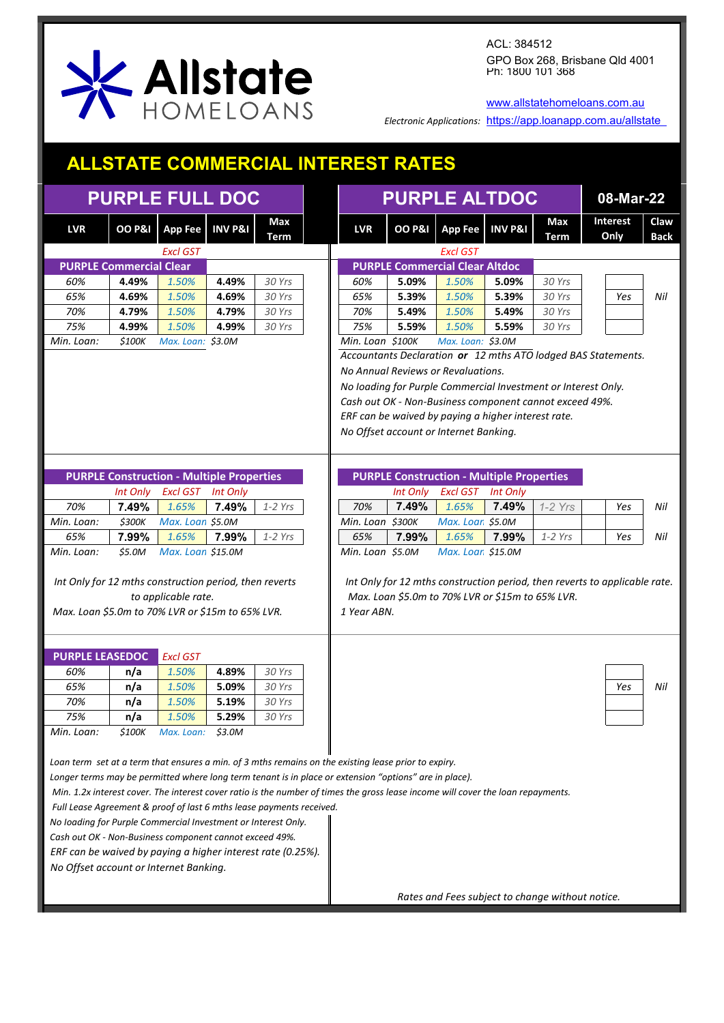

[www.allstatehomeloans.com.au](http://www.allstatehomeloans.com.au/)

*Electronic Applications:* <https://app.loanapp.com.au/allstate>

## **ALLSTATE COMMERCIAL INTEREST RATES**

| <b>PURPLE FULL DOC</b>                                                                                                                                                                                                                                                                                                                                                                                                                                                                                                                                                                                                                                          | <b>PURPLE ALTDOC</b> | 08-Mar-22                                        |                    |                    |                                                               |          |                                                     |                    |                                                         |                                                                            |                     |  |  |  |  |  |
|-----------------------------------------------------------------------------------------------------------------------------------------------------------------------------------------------------------------------------------------------------------------------------------------------------------------------------------------------------------------------------------------------------------------------------------------------------------------------------------------------------------------------------------------------------------------------------------------------------------------------------------------------------------------|----------------------|--------------------------------------------------|--------------------|--------------------|---------------------------------------------------------------|----------|-----------------------------------------------------|--------------------|---------------------------------------------------------|----------------------------------------------------------------------------|---------------------|--|--|--|--|--|
| <b>LVR</b>                                                                                                                                                                                                                                                                                                                                                                                                                                                                                                                                                                                                                                                      | <b>OO P&amp;I</b>    | <b>App Fee</b>                                   | <b>INV P&amp;I</b> | Max<br><b>Term</b> | <b>LVR</b>                                                    |          | OO P&I App Fee                                      | <b>INV P&amp;I</b> | Max<br><b>Term</b>                                      | Interest<br>Only                                                           | Claw<br><b>Back</b> |  |  |  |  |  |
|                                                                                                                                                                                                                                                                                                                                                                                                                                                                                                                                                                                                                                                                 |                      | <b>Excl GST</b>                                  |                    |                    |                                                               |          | <b>Excl GST</b>                                     |                    |                                                         |                                                                            |                     |  |  |  |  |  |
| <b>PURPLE Commercial Clear</b>                                                                                                                                                                                                                                                                                                                                                                                                                                                                                                                                                                                                                                  |                      |                                                  |                    |                    |                                                               |          | <b>PURPLE Commercial Clear Altdoc</b>               |                    |                                                         |                                                                            |                     |  |  |  |  |  |
| 60%                                                                                                                                                                                                                                                                                                                                                                                                                                                                                                                                                                                                                                                             | 4.49%                | 1.50%                                            | 4.49%              | 30 Yrs             | 60%                                                           | 5.09%    | 1.50%                                               | 5.09%              | 30 Yrs                                                  |                                                                            |                     |  |  |  |  |  |
| 65%                                                                                                                                                                                                                                                                                                                                                                                                                                                                                                                                                                                                                                                             | 4.69%                | 1.50%                                            | 4.69%              | 30 Yrs             | 65%                                                           | 5.39%    | 1.50%                                               | 5.39%              | 30 Yrs                                                  | Yes                                                                        | Nil                 |  |  |  |  |  |
| 70%                                                                                                                                                                                                                                                                                                                                                                                                                                                                                                                                                                                                                                                             | 4.79%                | 1.50%                                            | 4.79%              | 30 Yrs             | 70%                                                           | 5.49%    | 1.50%                                               | 5.49%              | 30 Yrs                                                  |                                                                            |                     |  |  |  |  |  |
| 75%                                                                                                                                                                                                                                                                                                                                                                                                                                                                                                                                                                                                                                                             | 4.99%                | 1.50%                                            | 4.99%              | 30 Yrs             | 75%                                                           | 5.59%    | 1.50%                                               | 5.59%              | 30 Yrs                                                  |                                                                            |                     |  |  |  |  |  |
| Min. Loan:                                                                                                                                                                                                                                                                                                                                                                                                                                                                                                                                                                                                                                                      | \$100K               | Max. Loan: \$3.0M                                |                    |                    | Min. Loan \$100K                                              |          | Max. Loan: \$3.0M                                   |                    |                                                         |                                                                            |                     |  |  |  |  |  |
|                                                                                                                                                                                                                                                                                                                                                                                                                                                                                                                                                                                                                                                                 |                      |                                                  |                    |                    | Accountants Declaration or 12 mths ATO lodged BAS Statements. |          |                                                     |                    |                                                         |                                                                            |                     |  |  |  |  |  |
|                                                                                                                                                                                                                                                                                                                                                                                                                                                                                                                                                                                                                                                                 |                      |                                                  |                    |                    | No Annual Reviews or Revaluations.                            |          |                                                     |                    |                                                         |                                                                            |                     |  |  |  |  |  |
|                                                                                                                                                                                                                                                                                                                                                                                                                                                                                                                                                                                                                                                                 |                      |                                                  |                    |                    | No loading for Purple Commercial Investment or Interest Only. |          |                                                     |                    |                                                         |                                                                            |                     |  |  |  |  |  |
|                                                                                                                                                                                                                                                                                                                                                                                                                                                                                                                                                                                                                                                                 |                      |                                                  |                    |                    |                                                               |          |                                                     |                    | Cash out OK - Non-Business component cannot exceed 49%. |                                                                            |                     |  |  |  |  |  |
|                                                                                                                                                                                                                                                                                                                                                                                                                                                                                                                                                                                                                                                                 |                      |                                                  |                    |                    |                                                               |          | ERF can be waived by paying a higher interest rate. |                    |                                                         |                                                                            |                     |  |  |  |  |  |
|                                                                                                                                                                                                                                                                                                                                                                                                                                                                                                                                                                                                                                                                 |                      |                                                  |                    |                    |                                                               |          | No Offset account or Internet Banking.              |                    |                                                         |                                                                            |                     |  |  |  |  |  |
|                                                                                                                                                                                                                                                                                                                                                                                                                                                                                                                                                                                                                                                                 |                      |                                                  |                    |                    |                                                               |          |                                                     |                    |                                                         |                                                                            |                     |  |  |  |  |  |
|                                                                                                                                                                                                                                                                                                                                                                                                                                                                                                                                                                                                                                                                 |                      |                                                  |                    |                    |                                                               |          |                                                     |                    |                                                         |                                                                            |                     |  |  |  |  |  |
|                                                                                                                                                                                                                                                                                                                                                                                                                                                                                                                                                                                                                                                                 |                      | <b>PURPLE Construction - Multiple Properties</b> |                    |                    |                                                               |          | <b>PURPLE Construction - Multiple Properties</b>    |                    |                                                         |                                                                            |                     |  |  |  |  |  |
|                                                                                                                                                                                                                                                                                                                                                                                                                                                                                                                                                                                                                                                                 | Int Only             | <b>Excl GST</b>                                  | Int Only           |                    |                                                               | Int Only | <b>Excl GST</b>                                     | <b>Int Only</b>    |                                                         |                                                                            |                     |  |  |  |  |  |
| 70%                                                                                                                                                                                                                                                                                                                                                                                                                                                                                                                                                                                                                                                             | 7.49%                | 1.65%                                            | 7.49%              | $1-2$ Yrs          | 70%                                                           | 7.49%    | 1.65%                                               | 7.49%              | $1-2$ Yrs                                               | Yes                                                                        | Nil                 |  |  |  |  |  |
| Min. Loan:                                                                                                                                                                                                                                                                                                                                                                                                                                                                                                                                                                                                                                                      | <i><b>\$300K</b></i> | Max. Loan \$5.0M                                 |                    |                    | Min. Loan \$300K                                              |          | Max. Loan \$5.0M                                    |                    |                                                         |                                                                            |                     |  |  |  |  |  |
| 65%                                                                                                                                                                                                                                                                                                                                                                                                                                                                                                                                                                                                                                                             | 7.99%                | 1.65%                                            | 7.99%              | $1-2$ Yrs          | 65%                                                           | 7.99%    | 1.65%                                               | 7.99%              | $1-2$ Yrs                                               | Yes                                                                        | Nil                 |  |  |  |  |  |
| Min. Loan:                                                                                                                                                                                                                                                                                                                                                                                                                                                                                                                                                                                                                                                      | \$5.0M               | Max. Loan \$15.0M                                |                    |                    | Min. Loan \$5.0M                                              |          | Max. Loan \$15.0M                                   |                    |                                                         |                                                                            |                     |  |  |  |  |  |
| Int Only for 12 mths construction period, then reverts<br>Max. Loan \$5.0m to 70% LVR or \$15m to 65% LVR.                                                                                                                                                                                                                                                                                                                                                                                                                                                                                                                                                      |                      | to applicable rate.                              |                    |                    | 1 Year ABN.                                                   |          | Max. Loan \$5.0m to 70% LVR or \$15m to 65% LVR.    |                    |                                                         | Int Only for 12 mths construction period, then reverts to applicable rate. |                     |  |  |  |  |  |
|                                                                                                                                                                                                                                                                                                                                                                                                                                                                                                                                                                                                                                                                 |                      |                                                  |                    |                    |                                                               |          |                                                     |                    |                                                         |                                                                            |                     |  |  |  |  |  |
| <b>PURPLE LEASEDOC</b>                                                                                                                                                                                                                                                                                                                                                                                                                                                                                                                                                                                                                                          |                      | <b>Excl GST</b>                                  |                    |                    |                                                               |          |                                                     |                    |                                                         |                                                                            |                     |  |  |  |  |  |
| 60%                                                                                                                                                                                                                                                                                                                                                                                                                                                                                                                                                                                                                                                             | n/a                  | 1.50%                                            | 4.89%              | 30 Yrs             |                                                               |          |                                                     |                    |                                                         |                                                                            |                     |  |  |  |  |  |
| 65%                                                                                                                                                                                                                                                                                                                                                                                                                                                                                                                                                                                                                                                             | n/a                  | 1.50%                                            | 5.09%              | 30 Yrs             |                                                               |          |                                                     |                    |                                                         | Yes                                                                        | Nil                 |  |  |  |  |  |
| 70%                                                                                                                                                                                                                                                                                                                                                                                                                                                                                                                                                                                                                                                             | n/a                  | 1.50%                                            | 5.19%              | 30 Yrs             |                                                               |          |                                                     |                    |                                                         |                                                                            |                     |  |  |  |  |  |
| 75%                                                                                                                                                                                                                                                                                                                                                                                                                                                                                                                                                                                                                                                             | n/a                  | 1.50%                                            | 5.29%              | 30 Yrs             |                                                               |          |                                                     |                    |                                                         |                                                                            |                     |  |  |  |  |  |
| Min. Loan:                                                                                                                                                                                                                                                                                                                                                                                                                                                                                                                                                                                                                                                      | <i><b>\$100K</b></i> | Max. Loan: \$3.0M                                |                    |                    |                                                               |          |                                                     |                    |                                                         |                                                                            |                     |  |  |  |  |  |
| Loan term set at a term that ensures a min. of 3 mths remains on the existing lease prior to expiry.<br>Longer terms may be permitted where long term tenant is in place or extension "options" are in place).<br>Min. 1.2x interest cover. The interest cover ratio is the number of times the gross lease income will cover the loan repayments.<br>Full Lease Agreement & proof of last 6 mths lease payments received.<br>No loading for Purple Commercial Investment or Interest Only.<br>Cash out OK - Non-Business component cannot exceed 49%.<br>ERF can be waived by paying a higher interest rate (0.25%).<br>No Offset account or Internet Banking. |                      |                                                  |                    |                    |                                                               |          |                                                     |                    |                                                         |                                                                            |                     |  |  |  |  |  |
|                                                                                                                                                                                                                                                                                                                                                                                                                                                                                                                                                                                                                                                                 |                      |                                                  |                    |                    |                                                               |          |                                                     |                    | Rates and Fees subject to change without notice.        |                                                                            |                     |  |  |  |  |  |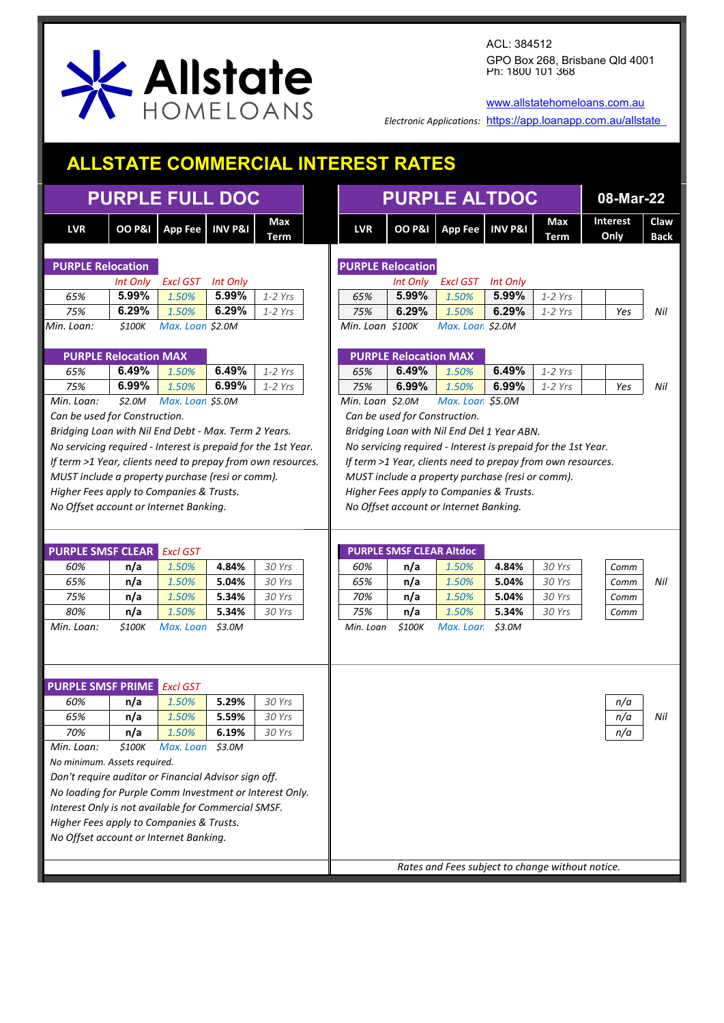

[www.allstatehomeloans.com.au](http://www.allstatehomeloans.com.au/)

*Electronic Applications:* <https://app.loanapp.com.au/allstate>

## **ALLSTATE COMMERCIAL INTEREST RATES**

|                                                                                                                |                              | <b>PURPLE FULL DOC</b> |                    |             |                          | <b>PURPLE ALTDOC</b>                                                                                        |                                                  |                 |             |                  |                     |  |  |  |  |  |  |
|----------------------------------------------------------------------------------------------------------------|------------------------------|------------------------|--------------------|-------------|--------------------------|-------------------------------------------------------------------------------------------------------------|--------------------------------------------------|-----------------|-------------|------------------|---------------------|--|--|--|--|--|--|
| <b>LVR</b>                                                                                                     |                              | OO P&I App Fee         | <b>INV P&amp;I</b> | Max<br>Term | <b>LVR</b>               | <b>OO P&amp;I</b>                                                                                           | App Fee INV P&I                                  |                 | Max<br>Term | Interest<br>Only | Claw<br><b>Back</b> |  |  |  |  |  |  |
| <b>PURPLE Relocation</b>                                                                                       |                              |                        |                    |             | <b>PURPLE Relocation</b> |                                                                                                             |                                                  |                 |             |                  |                     |  |  |  |  |  |  |
|                                                                                                                | Int Only                     | <b>Excl GST</b>        | Int Only           |             |                          | Int Only                                                                                                    | Excl GST                                         | <b>Int Only</b> |             |                  |                     |  |  |  |  |  |  |
| 65%                                                                                                            | 5.99%                        | 1.50%                  | 5.99%              | $1-2$ Yrs   | 65%                      | 5.99%                                                                                                       | 1.50%                                            | 5.99%           | $1-2$ Yrs   |                  |                     |  |  |  |  |  |  |
| 75%                                                                                                            | 6.29%                        | 1.50%                  | 6.29%              | $1-2$ Yrs   | 75%                      | 6.29%                                                                                                       | 1.50%                                            | 6.29%           | $1-2$ Yrs   | Yes              | Nil                 |  |  |  |  |  |  |
| Min. Loan:                                                                                                     | \$100K                       | Max. Loan \$2.0M       |                    |             | Min. Loan \$100K         |                                                                                                             | Max. Loan \$2.0M                                 |                 |             |                  |                     |  |  |  |  |  |  |
|                                                                                                                | <b>PURPLE Relocation MAX</b> |                        |                    |             |                          | <b>PURPLE Relocation MAX</b>                                                                                |                                                  |                 |             |                  |                     |  |  |  |  |  |  |
| 65%                                                                                                            | 6.49%                        | 1.50%                  | 6.49%              | $1-2$ Yrs   | 65%                      | 6.49%                                                                                                       | 1.50%                                            | 6.49%           | $1-2$ Yrs   |                  |                     |  |  |  |  |  |  |
| 75%                                                                                                            | 6.99%                        | 1.50%                  | 6.99%              | $1-2$ Yrs   | 75%                      | 6.99%                                                                                                       | 1.50%                                            | 6.99%           | $1-2$ Yrs   | Yes              | Nil                 |  |  |  |  |  |  |
| Min. Loan:                                                                                                     | \$2.0M\$                     | Max. Loan \$5.0M       |                    |             | Min. Loan \$2.0M         |                                                                                                             | Max. Loan \$5.0M                                 |                 |             |                  |                     |  |  |  |  |  |  |
| Can be used for Construction.                                                                                  |                              |                        |                    |             |                          |                                                                                                             | Can be used for Construction.                    |                 |             |                  |                     |  |  |  |  |  |  |
| Bridging Loan with Nil End Debt - Max. Term 2 Years.                                                           |                              |                        |                    |             |                          |                                                                                                             |                                                  |                 |             |                  |                     |  |  |  |  |  |  |
|                                                                                                                |                              |                        |                    |             |                          | Bridging Loan with Nil End Del 1 Year ABN.<br>No servicing required - Interest is prepaid for the 1st Year. |                                                  |                 |             |                  |                     |  |  |  |  |  |  |
| No servicing required - Interest is prepaid for the 1st Year.                                                  |                              |                        |                    |             |                          |                                                                                                             |                                                  |                 |             |                  |                     |  |  |  |  |  |  |
| If term >1 Year, clients need to prepay from own resources.                                                    |                              |                        |                    |             |                          | If term >1 Year, clients need to prepay from own resources.                                                 |                                                  |                 |             |                  |                     |  |  |  |  |  |  |
| MUST include a property purchase (resi or comm).                                                               |                              |                        |                    |             |                          | MUST include a property purchase (resi or comm).                                                            |                                                  |                 |             |                  |                     |  |  |  |  |  |  |
| Higher Fees apply to Companies & Trusts.                                                                       |                              |                        |                    |             |                          | Higher Fees apply to Companies & Trusts.<br>No Offset account or Internet Banking.                          |                                                  |                 |             |                  |                     |  |  |  |  |  |  |
| No Offset account or Internet Banking.                                                                         |                              |                        |                    |             |                          |                                                                                                             |                                                  |                 |             |                  |                     |  |  |  |  |  |  |
|                                                                                                                |                              |                        |                    |             |                          |                                                                                                             |                                                  |                 |             |                  |                     |  |  |  |  |  |  |
| <b>PURPLE SMSF CLEAR Excl GST</b>                                                                              |                              |                        |                    |             |                          | <b>PURPLE SMSF CLEAR Altdoc</b>                                                                             |                                                  |                 |             |                  |                     |  |  |  |  |  |  |
| 60%                                                                                                            | n/a                          | 1.50%                  | 4.84%              | 30 Yrs      | 60%                      | n/a                                                                                                         | 1.50%                                            | 4.84%           | 30 Yrs      | Comm             |                     |  |  |  |  |  |  |
| 65%                                                                                                            | n/a                          | 1.50%                  | 5.04%              | 30 Yrs      | 65%                      | n/a                                                                                                         | 1.50%                                            | 5.04%           | 30 Yrs      |                  | Nil                 |  |  |  |  |  |  |
| 75%                                                                                                            |                              |                        |                    |             | 70%                      |                                                                                                             | 1.50%                                            |                 |             | Comm             |                     |  |  |  |  |  |  |
|                                                                                                                | n/a                          | 1.50%                  | 5.34%              | 30 Yrs      |                          | n/a                                                                                                         |                                                  | 5.04%           | 30 Yrs      | Comm             |                     |  |  |  |  |  |  |
| 80%                                                                                                            | n/a                          | 1.50%                  | 5.34%              | 30 Yrs      | 75%                      | n/a                                                                                                         | 1.50%                                            | 5.34%           | 30 Yrs      | Comm             |                     |  |  |  |  |  |  |
| Min. Loan:                                                                                                     | \$100K                       | Max. Loan \$3.0M       |                    |             | Min. Loan                | \$100K                                                                                                      | Max. Loan                                        | \$3.0M          |             |                  |                     |  |  |  |  |  |  |
|                                                                                                                |                              |                        |                    |             |                          |                                                                                                             |                                                  |                 |             |                  |                     |  |  |  |  |  |  |
|                                                                                                                |                              |                        |                    |             |                          |                                                                                                             |                                                  |                 |             |                  |                     |  |  |  |  |  |  |
|                                                                                                                |                              |                        |                    |             |                          |                                                                                                             |                                                  |                 |             |                  |                     |  |  |  |  |  |  |
| <b>PURPLE SMSF PRIME</b> Excl GST                                                                              |                              |                        |                    |             |                          |                                                                                                             |                                                  |                 |             |                  |                     |  |  |  |  |  |  |
| 60%                                                                                                            | n/a                          | 1.50%                  | 5.29%              | 30 Yrs      |                          |                                                                                                             |                                                  |                 |             | n/a              |                     |  |  |  |  |  |  |
| 65%                                                                                                            | n/a                          | 1.50%                  | 5.59%              | 30 Yrs      |                          |                                                                                                             |                                                  |                 |             | n/a              | Nil                 |  |  |  |  |  |  |
| 70%                                                                                                            | n/a                          | 1.50%                  | 6.19%              | 30 Yrs      |                          |                                                                                                             |                                                  |                 |             | n/a              |                     |  |  |  |  |  |  |
| Min. Loan:                                                                                                     | <i><b>\$100K</b></i>         | Max. Loan              | \$3.0M             |             |                          |                                                                                                             |                                                  |                 |             |                  |                     |  |  |  |  |  |  |
| No minimum. Assets required.                                                                                   |                              |                        |                    |             |                          |                                                                                                             |                                                  |                 |             |                  |                     |  |  |  |  |  |  |
| Don't require auditor or Financial Advisor sign off.                                                           |                              |                        |                    |             |                          |                                                                                                             |                                                  |                 |             |                  |                     |  |  |  |  |  |  |
|                                                                                                                |                              |                        |                    |             |                          |                                                                                                             |                                                  |                 |             |                  |                     |  |  |  |  |  |  |
| No loading for Purple Comm Investment or Interest Only.<br>Interest Only is not available for Commercial SMSF. |                              |                        |                    |             |                          |                                                                                                             |                                                  |                 |             |                  |                     |  |  |  |  |  |  |
| Higher Fees apply to Companies & Trusts.                                                                       |                              |                        |                    |             |                          |                                                                                                             |                                                  |                 |             |                  |                     |  |  |  |  |  |  |
| No Offset account or Internet Banking.                                                                         |                              |                        |                    |             |                          |                                                                                                             |                                                  |                 |             |                  |                     |  |  |  |  |  |  |
|                                                                                                                |                              |                        |                    |             |                          |                                                                                                             |                                                  |                 |             |                  |                     |  |  |  |  |  |  |
|                                                                                                                |                              |                        |                    |             |                          |                                                                                                             | Rates and Fees subject to change without notice. |                 |             |                  |                     |  |  |  |  |  |  |